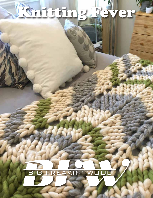# Knitting Rever